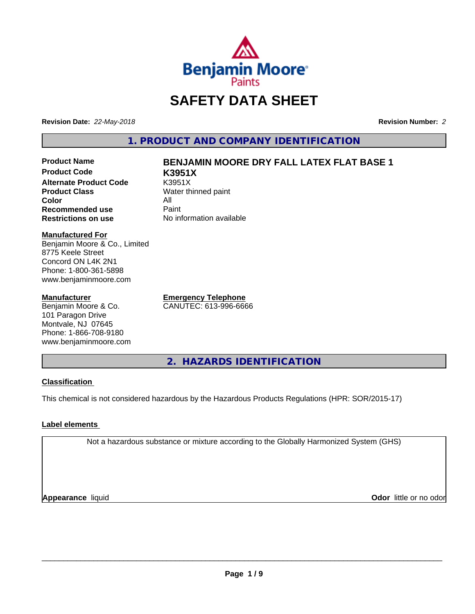

# **SAFETY DATA SHEET**

**Revision Date:** *22-May-2018* **Revision Number:** *2*

**1. PRODUCT AND COMPANY IDENTIFICATION**

**Product Code K3951X Alternate Product Code** K3951X<br> **Product Class** Water th **Color** All<br> **Recommended use** Paint **Recommended use**<br>Restrictions on use

# **Product Name BENJAMIN MOORE DRY FALL LATEX FLAT BASE 1**

**Water thinned paint No information available** 

# **Manufactured For**

Benjamin Moore & Co., Limited 8775 Keele Street Concord ON L4K 2N1 Phone: 1-800-361-5898 www.benjaminmoore.com

### **Manufacturer**

Benjamin Moore & Co. 101 Paragon Drive Montvale, NJ 07645 Phone: 1-866-708-9180 www.benjaminmoore.com

**Emergency Telephone** CANUTEC: 613-996-6666

**2. HAZARDS IDENTIFICATION**

# **Classification**

This chemical is not considered hazardous by the Hazardous Products Regulations (HPR: SOR/2015-17)

# **Label elements**

Not a hazardous substance or mixture according to the Globally Harmonized System (GHS)

**Appearance** liquid

**Odor** little or no odor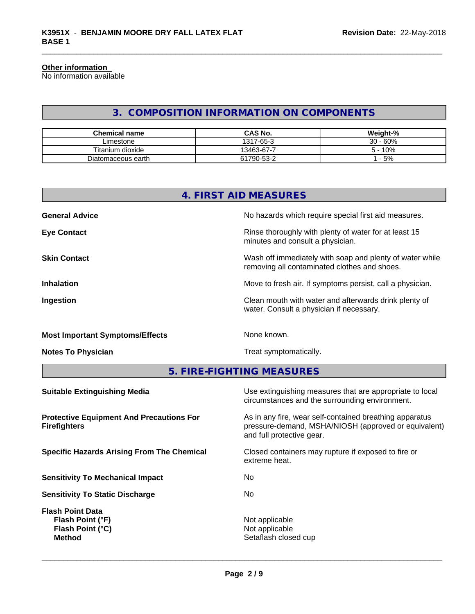### **Other information**

No information available

# **3. COMPOSITION INFORMATION ON COMPONENTS**

| <b>Chemical name</b> | <b>CAS No.</b> | Weight-%   |
|----------------------|----------------|------------|
| ∟imestone            | 1317-65-3      | $30 - 60%$ |
| Titanium dioxide     | 13463-67-7     | 10%        |
| Diatomaceous earth   | 61790-53-2     | $-5%$      |

| 4. FIRST AID MEASURES |                                                                                                          |  |  |
|-----------------------|----------------------------------------------------------------------------------------------------------|--|--|
| <b>General Advice</b> | No hazards which require special first aid measures.                                                     |  |  |
| <b>Eye Contact</b>    | Rinse thoroughly with plenty of water for at least 15<br>minutes and consult a physician.                |  |  |
| <b>Skin Contact</b>   | Wash off immediately with soap and plenty of water while<br>removing all contaminated clothes and shoes. |  |  |
| <b>Inhalation</b>     | Move to fresh air. If symptoms persist, call a physician.                                                |  |  |
| Ingestion             | Clean mouth with water and afterwards drink plenty of<br>water. Consult a physician if necessary.        |  |  |
|                       |                                                                                                          |  |  |

# **Most Important Symptoms/Effects** None known.

**Notes To Physician Treat symptomatically.** Treat symptomatically.

**5. FIRE-FIGHTING MEASURES**

| <b>Suitable Extinguishing Media</b>                                              | Use extinguishing measures that are appropriate to local<br>circumstances and the surrounding environment.                                   |
|----------------------------------------------------------------------------------|----------------------------------------------------------------------------------------------------------------------------------------------|
| <b>Protective Equipment And Precautions For</b><br><b>Firefighters</b>           | As in any fire, wear self-contained breathing apparatus<br>pressure-demand, MSHA/NIOSH (approved or equivalent)<br>and full protective gear. |
| <b>Specific Hazards Arising From The Chemical</b>                                | Closed containers may rupture if exposed to fire or<br>extreme heat.                                                                         |
| <b>Sensitivity To Mechanical Impact</b>                                          | No.                                                                                                                                          |
| <b>Sensitivity To Static Discharge</b>                                           | No.                                                                                                                                          |
| <b>Flash Point Data</b><br>Flash Point (°F)<br>Flash Point (°C)<br><b>Method</b> | Not applicable<br>Not applicable<br>Setaflash closed cup                                                                                     |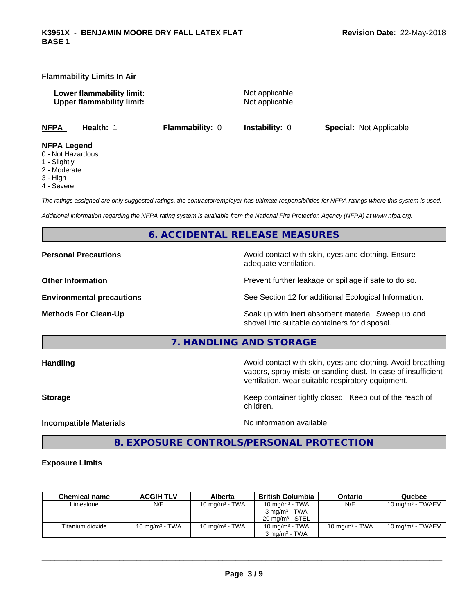### **Flammability Limits In Air**

**Lower flammability limit:** Not applicable **Upper flammability limit:** Not applicable

**NFPA Health:** 1 **Flammability:** 0 **Instability:** 0 **Special:** Not Applicable

### **NFPA Legend**

- 0 Not Hazardous
- 1 Slightly
- 2 Moderate
- 3 High
- 4 Severe

*The ratings assigned are only suggested ratings, the contractor/employer has ultimate responsibilities for NFPA ratings where this system is used.*

*Additional information regarding the NFPA rating system is available from the National Fire Protection Agency (NFPA) at www.nfpa.org.*

# **6. ACCIDENTAL RELEASE MEASURES**

**Personal Precautions Avoid contact with skin, eyes and clothing. Ensure** Avoid contact with skin, eyes and clothing. Ensure adequate ventilation. **Other Information Discription Prevent further leakage or spillage if safe to do so. Environmental precautions** See Section 12 for additional Ecological Information. **Methods For Clean-Up** Soak up with inert absorbent material. Sweep up and shovel into suitable containers for disposal.

**7. HANDLING AND STORAGE**

**Handling Handling Avoid contact with skin, eyes and clothing. Avoid breathing** vapors, spray mists or sanding dust. In case of insufficient ventilation, wear suitable respiratory equipment.

**Storage Keep container tightly closed.** Keep out of the reach of children.

**Incompatible Materials** Noinformation available

 $\overline{\phantom{a}}$  ,  $\overline{\phantom{a}}$  ,  $\overline{\phantom{a}}$  ,  $\overline{\phantom{a}}$  ,  $\overline{\phantom{a}}$  ,  $\overline{\phantom{a}}$  ,  $\overline{\phantom{a}}$  ,  $\overline{\phantom{a}}$  ,  $\overline{\phantom{a}}$  ,  $\overline{\phantom{a}}$  ,  $\overline{\phantom{a}}$  ,  $\overline{\phantom{a}}$  ,  $\overline{\phantom{a}}$  ,  $\overline{\phantom{a}}$  ,  $\overline{\phantom{a}}$  ,  $\overline{\phantom{a}}$ 

# **8. EXPOSURE CONTROLS/PERSONAL PROTECTION**

### **Exposure Limits**

| <b>Chemical name</b> | <b>ACGIH TLV</b>  | Alberta           | <b>British Columbia</b>    | Ontario           | Quebec                       |
|----------------------|-------------------|-------------------|----------------------------|-------------------|------------------------------|
| Limestone            | N/E               | 10 mg/m $3$ - TWA | 10 mg/m $3$ - TWA          | N/E               | $10 \text{ mg/m}^3$ - TWAEV  |
|                      |                   |                   | $3 \text{ ma/m}^3$ - TWA   |                   |                              |
|                      |                   |                   | $20 \text{ ma/m}^3$ - STEL |                   |                              |
| Titanium dioxide     | 10 mg/m $3$ - TWA | 10 mg/m $3$ - TWA | 10 mg/m $3$ - TWA          | 10 mg/m $3$ - TWA | 10 mg/m <sup>3</sup> - TWAEV |
|                      |                   |                   | $3 \text{ ma/m}^3$ - TWA   |                   |                              |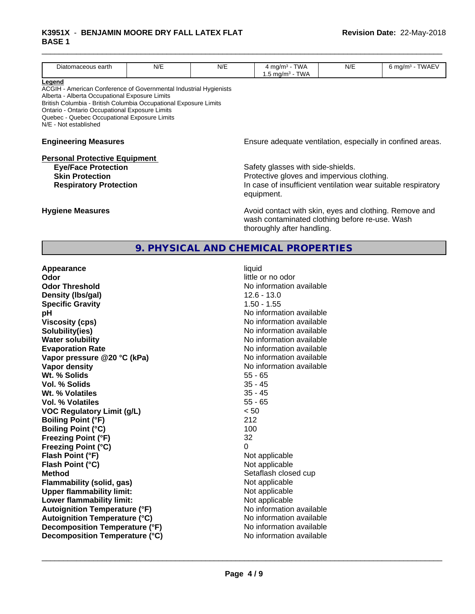### \_\_\_\_\_\_\_\_\_\_\_\_\_\_\_\_\_\_\_\_\_\_\_\_\_\_\_\_\_\_\_\_\_\_\_\_\_\_\_\_\_\_\_\_\_\_\_\_\_\_\_\_\_\_\_\_\_\_\_\_\_\_\_\_\_\_\_\_\_\_\_\_\_\_\_\_\_\_\_\_\_\_\_\_\_\_\_\_\_\_\_\_\_ **K3951X** - **BENJAMIN MOORE DRY FALL LATEX FLAT BASE 1**

|                                                                                                                                                                                                                                                                                                                              |     |     | 9. PHYSICAL AND CHEMICAL PROPERTIES                                                                                                                            |     |                             |  |
|------------------------------------------------------------------------------------------------------------------------------------------------------------------------------------------------------------------------------------------------------------------------------------------------------------------------------|-----|-----|----------------------------------------------------------------------------------------------------------------------------------------------------------------|-----|-----------------------------|--|
| <b>Hygiene Measures</b>                                                                                                                                                                                                                                                                                                      |     |     | Avoid contact with skin, eyes and clothing. Remove and<br>wash contaminated clothing before re-use. Wash<br>thoroughly after handling.                         |     |                             |  |
| <b>Personal Protective Equipment</b><br><b>Eye/Face Protection</b><br><b>Skin Protection</b><br><b>Respiratory Protection</b>                                                                                                                                                                                                |     |     | Safety glasses with side-shields.<br>Protective gloves and impervious clothing.<br>In case of insufficient ventilation wear suitable respiratory<br>equipment. |     |                             |  |
| <b>Engineering Measures</b>                                                                                                                                                                                                                                                                                                  |     |     | Ensure adequate ventilation, especially in confined areas.                                                                                                     |     |                             |  |
| Legend<br>ACGIH - American Conference of Governmental Industrial Hygienists<br>Alberta - Alberta Occupational Exposure Limits<br>British Columbia - British Columbia Occupational Exposure Limits<br>Ontario - Ontario Occupational Exposure Limits<br>Quebec - Quebec Occupational Exposure Limits<br>N/E - Not established |     |     |                                                                                                                                                                |     |                             |  |
| Diatomaceous earth                                                                                                                                                                                                                                                                                                           | N/E | N/E | $4$ mg/m <sup>3</sup> - TWA<br>1.5 mg/m <sup>3</sup> - TWA                                                                                                     | N/E | 6 mg/m <sup>3</sup> - TWAEV |  |

| Appearance                           | liquid                   |
|--------------------------------------|--------------------------|
| Odor                                 | little or no odor        |
| <b>Odor Threshold</b>                | No information available |
| Density (Ibs/gal)                    | $12.6 - 13.0$            |
| <b>Specific Gravity</b>              | $1.50 - 1.55$            |
| рH                                   | No information available |
| <b>Viscosity (cps)</b>               | No information available |
| Solubility(ies)                      | No information available |
| <b>Water solubility</b>              | No information available |
| <b>Evaporation Rate</b>              | No information available |
| Vapor pressure @20 °C (kPa)          | No information available |
| Vapor density                        | No information available |
| Wt. % Solids                         | $55 - 65$                |
| Vol. % Solids                        | $35 - 45$                |
| Wt. % Volatiles                      | $35 - 45$                |
| Vol. % Volatiles                     | $55 - 65$                |
| <b>VOC Regulatory Limit (g/L)</b>    | < 50                     |
| <b>Boiling Point (°F)</b>            | 212                      |
| <b>Boiling Point (°C)</b>            | 100                      |
| <b>Freezing Point (°F)</b>           | 32                       |
| <b>Freezing Point (°C)</b>           | 0                        |
| Flash Point (°F)                     | Not applicable           |
| Flash Point (°C)                     | Not applicable           |
| <b>Method</b>                        | Setaflash closed cup     |
| Flammability (solid, gas)            | Not applicable           |
| <b>Upper flammability limit:</b>     | Not applicable           |
| Lower flammability limit:            | Not applicable           |
| <b>Autoignition Temperature (°F)</b> | No information available |
| <b>Autoignition Temperature (°C)</b> | No information available |
| Decomposition Temperature (°F)       | No information available |
| Decomposition Temperature (°C)       | No information available |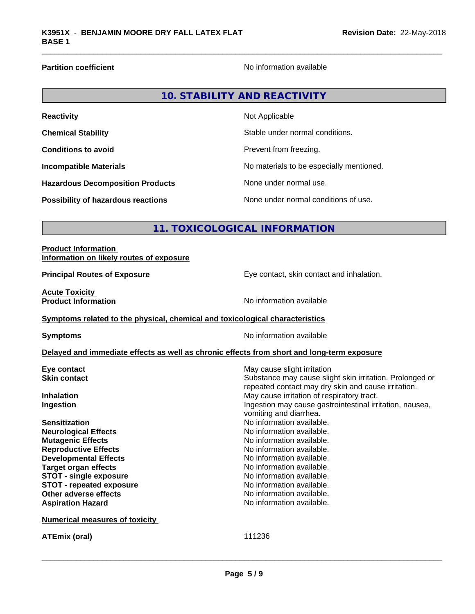**Partition coefficient Contract Contract Contract Contract Contract Contract Contract Contract Contract Contract Contract Contract Contract Contract Contract Contract Contract Contract Contract Contract Contract Contract** 

| 10. STABILITY AND REACTIVITY |
|------------------------------|
|------------------------------|

| <b>Reactivity</b>                         | Not Applicable                           |
|-------------------------------------------|------------------------------------------|
| <b>Chemical Stability</b>                 | Stable under normal conditions.          |
| <b>Conditions to avoid</b>                | Prevent from freezing.                   |
| <b>Incompatible Materials</b>             | No materials to be especially mentioned. |
| <b>Hazardous Decomposition Products</b>   | None under normal use.                   |
| <b>Possibility of hazardous reactions</b> | None under normal conditions of use.     |

# **11. TOXICOLOGICAL INFORMATION**

| <b>Product Information</b><br>Information on likely routes of exposure       |                                                                                            |  |  |  |
|------------------------------------------------------------------------------|--------------------------------------------------------------------------------------------|--|--|--|
| <b>Principal Routes of Exposure</b>                                          | Eye contact, skin contact and inhalation.                                                  |  |  |  |
| <b>Acute Toxicity</b><br><b>Product Information</b>                          | No information available                                                                   |  |  |  |
| Symptoms related to the physical, chemical and toxicological characteristics |                                                                                            |  |  |  |
| No information available<br><b>Symptoms</b>                                  |                                                                                            |  |  |  |
|                                                                              | Delayed and immediate effects as well as chronic effects from short and long-term exposure |  |  |  |
| Eye contact                                                                  | May cause slight irritation                                                                |  |  |  |
| <b>Skin contact</b>                                                          | Substance may cause slight skin irritation. Prolonged or                                   |  |  |  |
|                                                                              | repeated contact may dry skin and cause irritation.                                        |  |  |  |
| <b>Inhalation</b>                                                            | May cause irritation of respiratory tract.                                                 |  |  |  |
| Ingestion                                                                    | Ingestion may cause gastrointestinal irritation, nausea,                                   |  |  |  |
|                                                                              | vomiting and diarrhea.                                                                     |  |  |  |
| <b>Sensitization</b>                                                         | No information available.                                                                  |  |  |  |
| <b>Neurological Effects</b>                                                  | No information available.                                                                  |  |  |  |
| <b>Mutagenic Effects</b>                                                     | No information available.                                                                  |  |  |  |
| <b>Reproductive Effects</b>                                                  | No information available.                                                                  |  |  |  |
| <b>Developmental Effects</b>                                                 | No information available.                                                                  |  |  |  |
| <b>Target organ effects</b>                                                  | No information available.                                                                  |  |  |  |
| <b>STOT - single exposure</b>                                                | No information available.                                                                  |  |  |  |
| <b>STOT - repeated exposure</b>                                              | No information available.                                                                  |  |  |  |
| <b>Other adverse effects</b>                                                 | No information available.                                                                  |  |  |  |
| <b>Aspiration Hazard</b>                                                     | No information available.                                                                  |  |  |  |
| <b>Numerical measures of toxicity</b>                                        |                                                                                            |  |  |  |
| <b>ATEmix (oral)</b>                                                         | 111236                                                                                     |  |  |  |
|                                                                              |                                                                                            |  |  |  |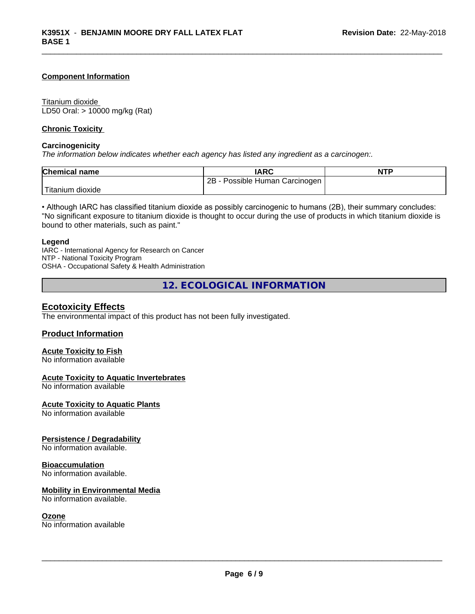### **Component Information**

### Titanium dioxide

LD50 Oral: > 10000 mg/kg (Rat)

### **Chronic Toxicity**

### **Carcinogenicity**

*The information below indicateswhether each agency has listed any ingredient as a carcinogen:.*

| <b>Chemical name</b> | <b>IARC</b>                     | <b>NTP</b> |
|----------------------|---------------------------------|------------|
|                      | 2B<br>Possible Human Carcinogen |            |
| 'Titanium dioxide    |                                 |            |

• Although IARC has classified titanium dioxide as possibly carcinogenic to humans (2B), their summary concludes: "No significant exposure to titanium dioxide is thought to occur during the use of products in which titanium dioxide is bound to other materials, such as paint."

### **Legend**

IARC - International Agency for Research on Cancer NTP - National Toxicity Program OSHA - Occupational Safety & Health Administration

**12. ECOLOGICAL INFORMATION**

# **Ecotoxicity Effects**

The environmental impact of this product has not been fully investigated.

### **Product Information**

# **Acute Toxicity to Fish**

No information available

### **Acute Toxicity to Aquatic Invertebrates**

No information available

**Acute Toxicity to Aquatic Plants**

No information available

### **Persistence / Degradability**

No information available.

### **Bioaccumulation**

No information available.

### **Mobility in Environmental Media**

No information available.

### **Ozone**

No information available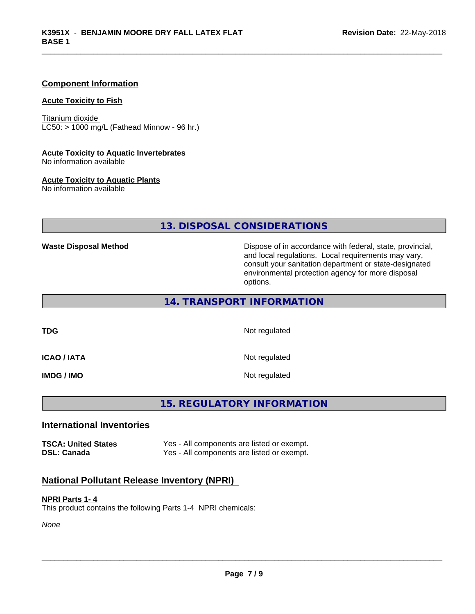### **Component Information**

### **Acute Toxicity to Fish**

Titanium dioxide  $LC50:$  > 1000 mg/L (Fathead Minnow - 96 hr.)

# **Acute Toxicity to Aquatic Invertebrates**

No information available

### **Acute Toxicity to Aquatic Plants**

No information available

# **13. DISPOSAL CONSIDERATIONS**

**Waste Disposal Method** Dispose of in accordance with federal, state, provincial, and local regulations. Local requirements may vary, consult your sanitation department or state-designated environmental protection agency for more disposal options.

# **14. TRANSPORT INFORMATION**

**TDG** Not regulated

**ICAO / IATA** Not regulated

**IMDG / IMO** Not regulated

# **15. REGULATORY INFORMATION**

### **International Inventories**

**TSCA: United States** Yes - All components are listed or exempt. **DSL: Canada** Yes - All components are listed or exempt.

# **National Pollutant Release Inventory (NPRI)**

### **NPRI Parts 1- 4**

This product contains the following Parts 1-4 NPRI chemicals:

*None*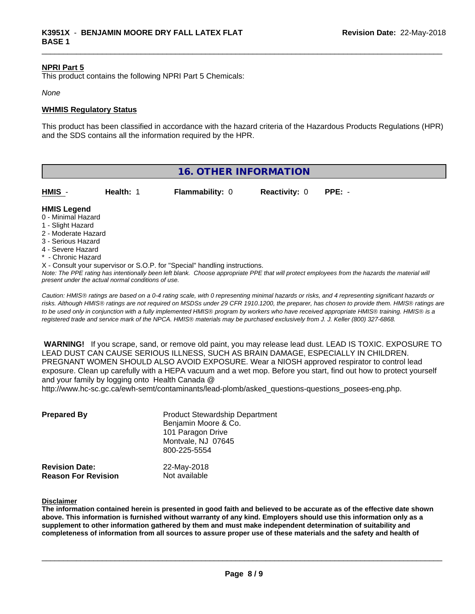### **NPRI Part 5**

This product contains the following NPRI Part 5 Chemicals:

### *None*

### **WHMIS Regulatory Status**

This product has been classified in accordance with the hazard criteria of the Hazardous Products Regulations (HPR) and the SDS contains all the information required by the HPR.

| <b>16. OTHER INFORMATION</b>                                                                                                                          |                                                    |                                                                            |                      |                                                                                                                                               |  |
|-------------------------------------------------------------------------------------------------------------------------------------------------------|----------------------------------------------------|----------------------------------------------------------------------------|----------------------|-----------------------------------------------------------------------------------------------------------------------------------------------|--|
| HMIS                                                                                                                                                  | Health: 1                                          | <b>Flammability: 0</b>                                                     | <b>Reactivity: 0</b> | $PPE: -$                                                                                                                                      |  |
| <b>HMIS Legend</b><br>0 - Minimal Hazard<br>1 - Slight Hazard<br>2 - Moderate Hazard<br>3 - Serious Hazard<br>4 - Severe Hazard<br>* - Chronic Hazard | present under the actual normal conditions of use. | X - Consult your supervisor or S.O.P. for "Special" handling instructions. |                      | Note: The PPE rating has intentionally been left blank. Choose appropriate PPE that will protect employees from the hazards the material will |  |

*Caution: HMISÒ ratings are based on a 0-4 rating scale, with 0 representing minimal hazards or risks, and 4 representing significant hazards or risks. Although HMISÒ ratings are not required on MSDSs under 29 CFR 1910.1200, the preparer, has chosen to provide them. HMISÒ ratings are to be used only in conjunction with a fully implemented HMISÒ program by workers who have received appropriate HMISÒ training. HMISÒ is a registered trade and service mark of the NPCA. HMISÒ materials may be purchased exclusively from J. J. Keller (800) 327-6868.*

 **WARNING!** If you scrape, sand, or remove old paint, you may release lead dust. LEAD IS TOXIC. EXPOSURE TO LEAD DUST CAN CAUSE SERIOUS ILLNESS, SUCH AS BRAIN DAMAGE, ESPECIALLY IN CHILDREN. PREGNANT WOMEN SHOULD ALSO AVOID EXPOSURE.Wear a NIOSH approved respirator to control lead exposure. Clean up carefully with a HEPA vacuum and a wet mop. Before you start, find out how to protect yourself and your family by logging onto Health Canada @

http://www.hc-sc.gc.ca/ewh-semt/contaminants/lead-plomb/asked\_questions-questions\_posees-eng.php.

| <b>Prepared By</b>                                  | <b>Product Stewardship Department</b><br>Benjamin Moore & Co.<br>101 Paragon Drive<br>Montvale, NJ 07645<br>800-225-5554 |  |  |
|-----------------------------------------------------|--------------------------------------------------------------------------------------------------------------------------|--|--|
| <b>Revision Date:</b><br><b>Reason For Revision</b> | 22-May-2018<br>Not available                                                                                             |  |  |

**Disclaimer**

The information contained herein is presented in good faith and believed to be accurate as of the effective date shown above. This information is furnished without warranty of any kind. Employers should use this information only as a **supplement to other information gathered by them and must make independent determination of suitability and** completeness of information from all sources to assure proper use of these materials and the safety and health of